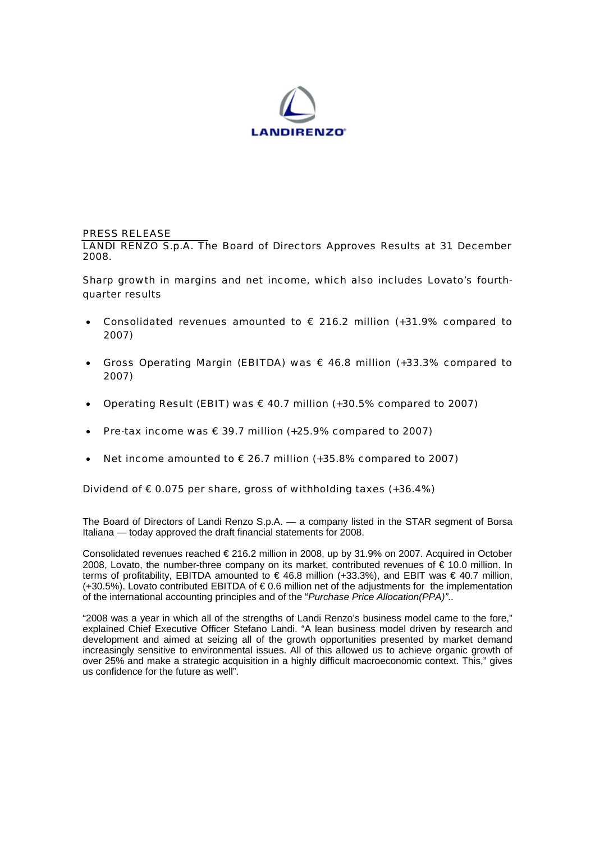

## PRESS RELEASE

LANDI RENZO S.p.A. The Board of Directors Approves Results at 31 December 2008.

Sharp growth in margins and net income, which also includes Lovato's fourthquarter results

- Consolidated revenues amounted to  $\epsilon$  216.2 million (+31.9% compared to 2007)
- Gross Operating Margin (EBITDA) was  $\epsilon$  46.8 million (+33.3% compared to 2007)
- Operating Result (EBIT) was  $\epsilon$  40.7 million (+30.5% compared to 2007)
- Pre-tax income was  $\epsilon$  39.7 million (+25.9% compared to 2007)
- Net income amounted to € 26.7 million (+35.8% compared to 2007)

### Dividend of  $\epsilon$  0.075 per share, gross of withholding taxes (+36.4%)

The Board of Directors of Landi Renzo S.p.A. — a company listed in the STAR segment of Borsa Italiana — today approved the draft financial statements for 2008.

Consolidated revenues reached € 216.2 million in 2008, up by 31.9% on 2007. Acquired in October 2008, Lovato, the number-three company on its market, contributed revenues of € 10.0 million. In terms of profitability, EBITDA amounted to  $\in$  46.8 million (+33.3%), and EBIT was  $\in$  40.7 million, (+30.5%). Lovato contributed EBITDA of € 0.6 million net of the adjustments for the implementation of the international accounting principles and of the "*Purchase Price Allocation(PPA)"*..

"2008 was a year in which all of the strengths of Landi Renzo's business model came to the fore," explained Chief Executive Officer Stefano Landi. "A lean business model driven by research and development and aimed at seizing all of the growth opportunities presented by market demand increasingly sensitive to environmental issues. All of this allowed us to achieve organic growth of over 25% and make a strategic acquisition in a highly difficult macroeconomic context. This," gives us confidence for the future as well".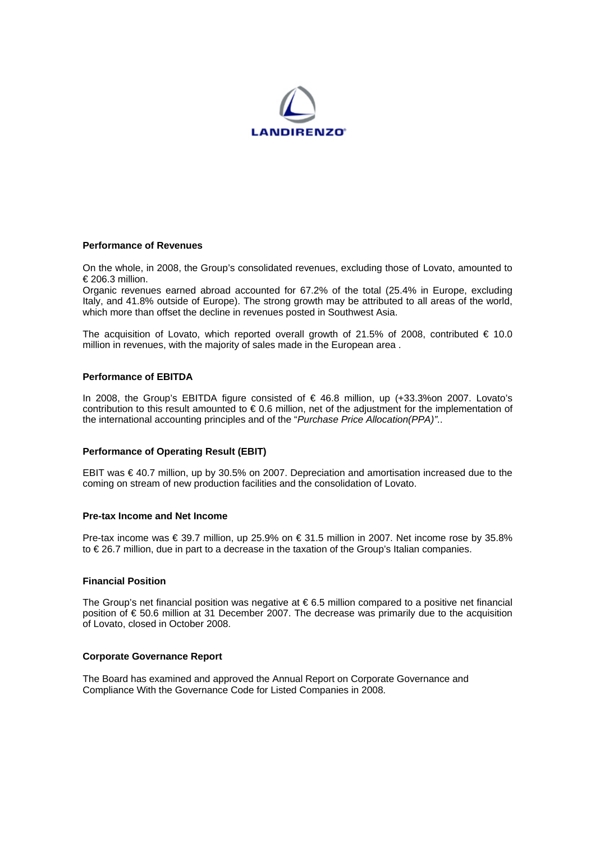

# **Performance of Revenues**

On the whole, in 2008, the Group's consolidated revenues, excluding those of Lovato, amounted to € 206.3 million.

Organic revenues earned abroad accounted for 67.2% of the total (25.4% in Europe, excluding Italy, and 41.8% outside of Europe). The strong growth may be attributed to all areas of the world, which more than offset the decline in revenues posted in Southwest Asia.

The acquisition of Lovato, which reported overall growth of 21.5% of 2008, contributed  $\in$  10.0 million in revenues, with the majority of sales made in the European area .

## **Performance of EBITDA**

In 2008, the Group's EBITDA figure consisted of € 46.8 million, up (+33.3%on 2007. Lovato's contribution to this result amounted to € 0.6 million, net of the adjustment for the implementation of the international accounting principles and of the "*Purchase Price Allocation(PPA)"*..

#### **Performance of Operating Result (EBIT)**

EBIT was € 40.7 million, up by 30.5% on 2007. Depreciation and amortisation increased due to the coming on stream of new production facilities and the consolidation of Lovato.

#### **Pre-tax Income and Net Income**

Pre-tax income was € 39.7 million, up 25.9% on € 31.5 million in 2007. Net income rose by 35.8% to € 26.7 million, due in part to a decrease in the taxation of the Group's Italian companies.

#### **Financial Position**

The Group's net financial position was negative at  $\epsilon$  6.5 million compared to a positive net financial position of € 50.6 million at 31 December 2007. The decrease was primarily due to the acquisition of Lovato, closed in October 2008.

#### **Corporate Governance Report**

The Board has examined and approved the Annual Report on Corporate Governance and Compliance With the Governance Code for Listed Companies in 2008.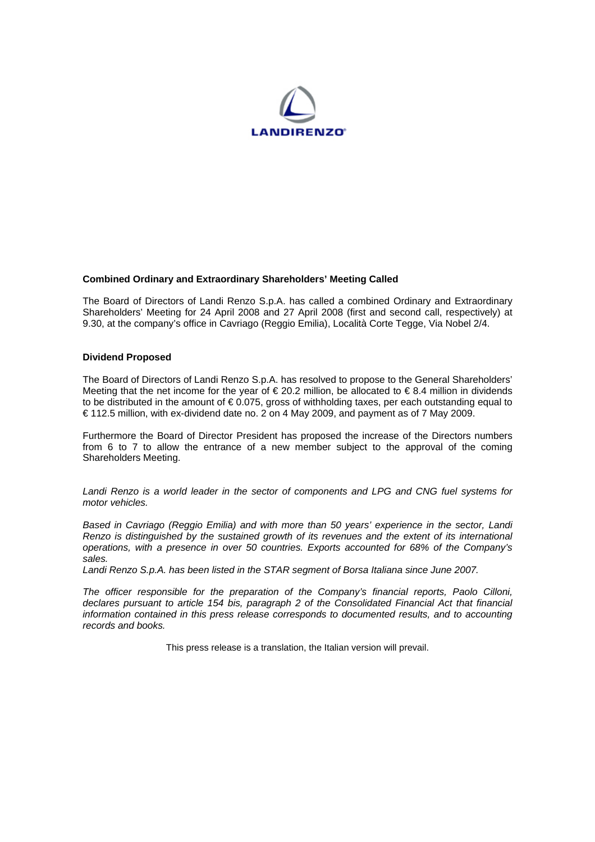

## **Combined Ordinary and Extraordinary Shareholders' Meeting Called**

The Board of Directors of Landi Renzo S.p.A. has called a combined Ordinary and Extraordinary Shareholders' Meeting for 24 April 2008 and 27 April 2008 (first and second call, respectively) at 9.30, at the company's office in Cavriago (Reggio Emilia), Località Corte Tegge, Via Nobel 2/4.

### **Dividend Proposed**

The Board of Directors of Landi Renzo S.p.A. has resolved to propose to the General Shareholders' Meeting that the net income for the year of  $\epsilon$  20.2 million, be allocated to  $\epsilon$  8.4 million in dividends to be distributed in the amount of € 0.075, gross of withholding taxes, per each outstanding equal to € 112.5 million, with ex-dividend date no. 2 on 4 May 2009, and payment as of 7 May 2009.

Furthermore the Board of Director President has proposed the increase of the Directors numbers from 6 to 7 to allow the entrance of a new member subject to the approval of the coming Shareholders Meeting.

*Landi Renzo is a world leader in the sector of components and LPG and CNG fuel systems for motor vehicles.* 

*Based in Cavriago (Reggio Emilia) and with more than 50 years' experience in the sector, Landi Renzo is distinguished by the sustained growth of its revenues and the extent of its international operations, with a presence in over 50 countries. Exports accounted for 68% of the Company's sales.* 

*Landi Renzo S.p.A. has been listed in the STAR segment of Borsa Italiana since June 2007.* 

*The officer responsible for the preparation of the Company's financial reports, Paolo Cilloni, declares pursuant to article 154 bis, paragraph 2 of the Consolidated Financial Act that financial information contained in this press release corresponds to documented results, and to accounting records and books.* 

This press release is a translation, the Italian version will prevail.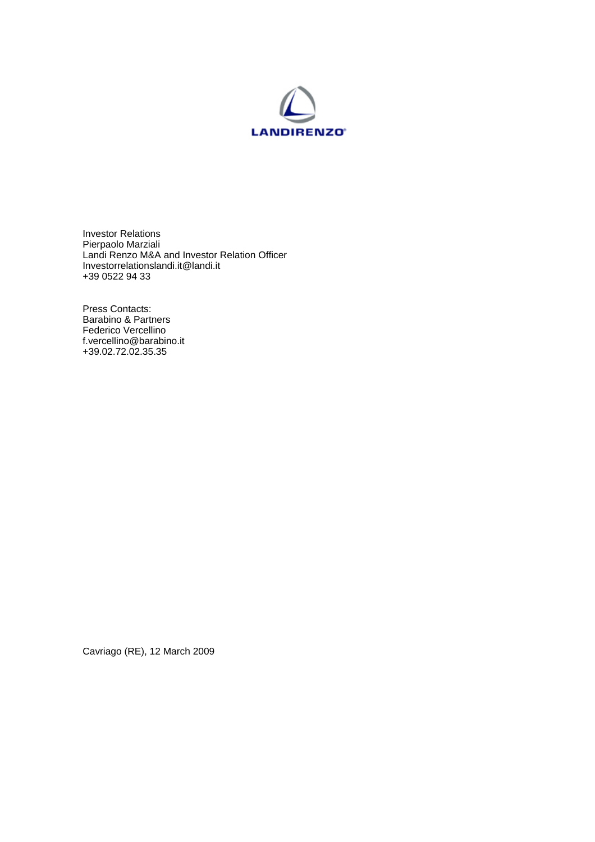

Investor Relations Pierpaolo Marziali Landi Renzo M&A and Investor Relation Officer Investorrelationslandi.it@landi.it +39 0522 94 33

Press Contacts: Barabino & Partners Federico Vercellino f.vercellino@barabino.it +39.02.72.02.35.35

Cavriago (RE), 12 March 2009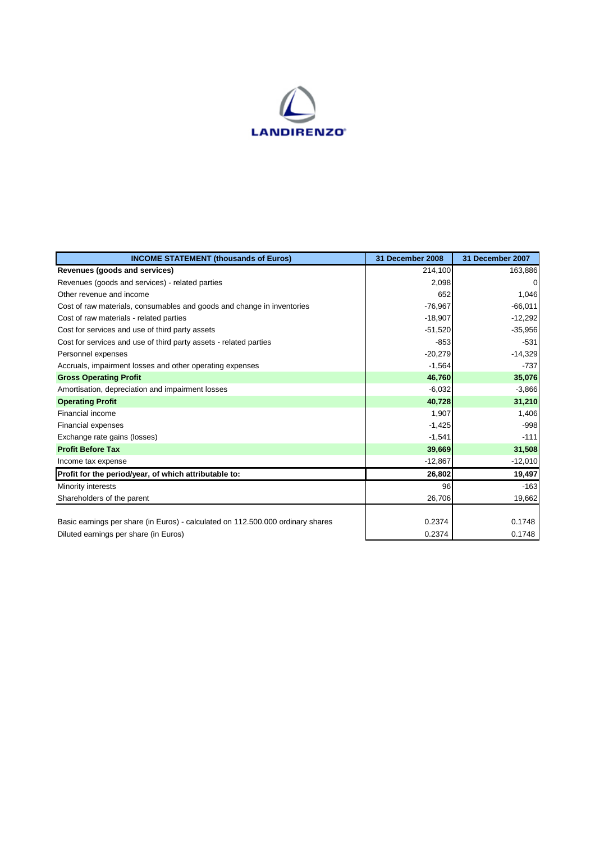

| <b>INCOME STATEMENT (thousands of Euros)</b>                                    | 31 December 2008 | 31 December 2007 |
|---------------------------------------------------------------------------------|------------------|------------------|
| Revenues (goods and services)                                                   | 214,100          | 163,886          |
| Revenues (goods and services) - related parties                                 | 2,098            | $\Omega$         |
| Other revenue and income                                                        | 652              | 1,046            |
| Cost of raw materials, consumables and goods and change in inventories          | $-76,967$        | $-66,011$        |
| Cost of raw materials - related parties                                         | $-18,907$        | $-12,292$        |
| Cost for services and use of third party assets                                 | $-51,520$        | $-35,956$        |
| Cost for services and use of third party assets - related parties               | $-853$           | $-531$           |
| Personnel expenses                                                              | $-20,279$        | $-14,329$        |
| Accruals, impairment losses and other operating expenses                        | $-1,564$         | $-737$           |
| <b>Gross Operating Profit</b>                                                   | 46,760           | 35,076           |
| Amortisation, depreciation and impairment losses                                | $-6,032$         | $-3,866$         |
| <b>Operating Profit</b>                                                         | 40,728           | 31,210           |
| <b>Financial income</b>                                                         | 1,907            | 1,406            |
| Financial expenses                                                              | $-1,425$         | $-998$           |
| Exchange rate gains (losses)                                                    | $-1,541$         | $-111$           |
| <b>Profit Before Tax</b>                                                        | 39,669           | 31,508           |
| Income tax expense                                                              | $-12,867$        | $-12,010$        |
| Profit for the period/year, of which attributable to:                           | 26,802           | 19,497           |
| Minority interests                                                              | 96               | $-163$           |
| Shareholders of the parent                                                      | 26,706           | 19,662           |
|                                                                                 |                  |                  |
| Basic earnings per share (in Euros) - calculated on 112.500.000 ordinary shares | 0.2374           | 0.1748           |
| Diluted earnings per share (in Euros)                                           | 0.2374           | 0.1748           |